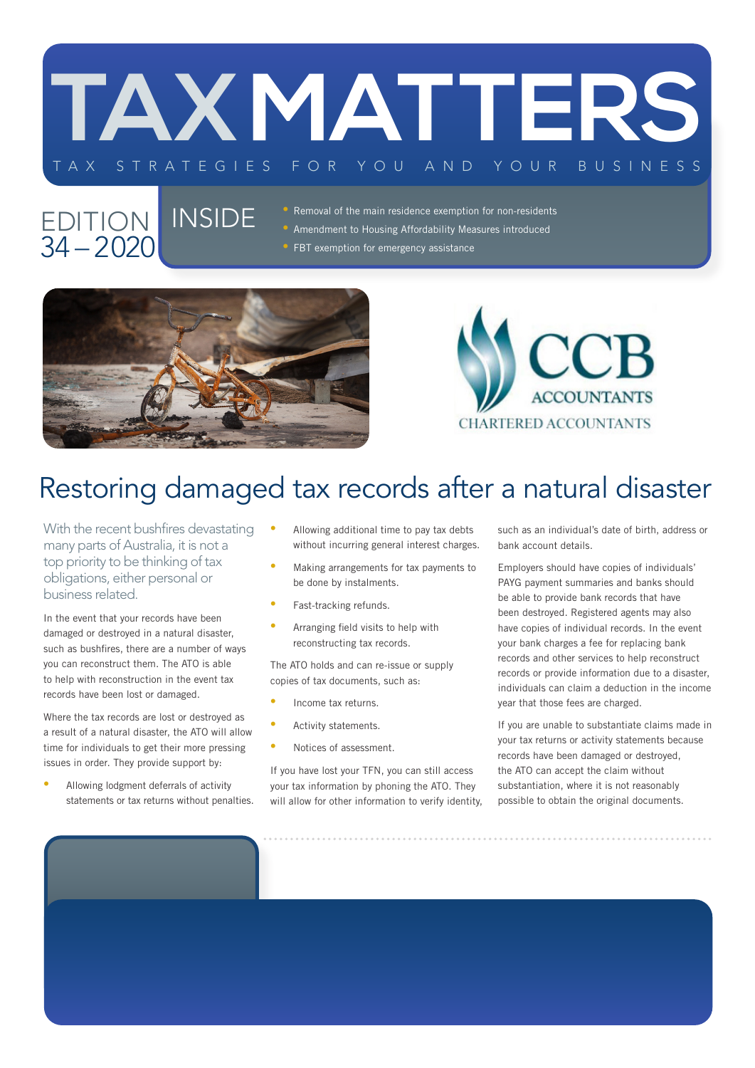

#### EDITION INSIDE 34 – 2020

- Removal of the main residence exemption for non-residents
- Amendment to Housing Affordability Measures introduced
- **FBT exemption for emergency assistance**





# Restoring damaged tax records after a natural disaster

With the recent bushfires devastating many parts of Australia, it is not a top priority to be thinking of tax obligations, either personal or business related.

In the event that your records have been damaged or destroyed in a natural disaster, such as bushfires, there are a number of ways you can reconstruct them. The ATO is able to help with reconstruction in the event tax records have been lost or damaged.

Where the tax records are lost or destroyed as a result of a natural disaster, the ATO will allow time for individuals to get their more pressing issues in order. They provide support by:

• Allowing lodgment deferrals of activity statements or tax returns without penalties.

- Allowing additional time to pay tax debts without incurring general interest charges.
- Making arrangements for tax payments to be done by instalments.
- Fast-tracking refunds.
- Arranging field visits to help with reconstructing tax records.

The ATO holds and can re-issue or supply copies of tax documents, such as:

- Income tax returns.
- Activity statements.
- Notices of assessment.

If you have lost your TFN, you can still access your tax information by phoning the ATO. They will allow for other information to verify identity, such as an individual's date of birth, address or bank account details.

Employers should have copies of individuals' PAYG payment summaries and banks should be able to provide bank records that have been destroyed. Registered agents may also have copies of individual records. In the event your bank charges a fee for replacing bank records and other services to help reconstruct records or provide information due to a disaster, individuals can claim a deduction in the income year that those fees are charged.

If you are unable to substantiate claims made in your tax returns or activity statements because records have been damaged or destroyed, the ATO can accept the claim without substantiation, where it is not reasonably possible to obtain the original documents.